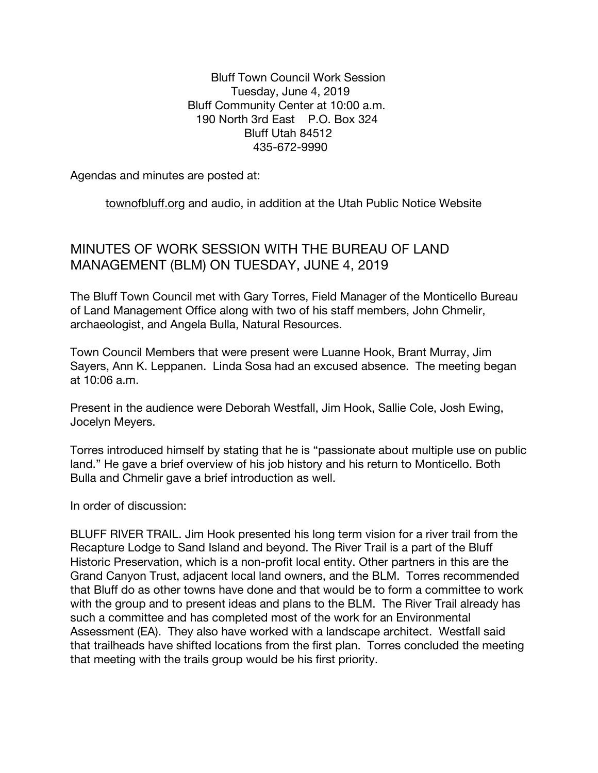Bluff Town Council Work Session Tuesday, June 4, 2019 Bluff Community Center at 10:00 a.m. 190 North 3rd East P.O. Box 324 Bluff Utah 84512 435-672-9990

Agendas and minutes are posted at:

townofbluff.org and audio, in addition at the Utah Public Notice Website

## MINUTES OF WORK SESSION WITH THE BUREAU OF LAND MANAGEMENT (BLM) ON TUESDAY, JUNE 4, 2019

The Bluff Town Council met with Gary Torres, Field Manager of the Monticello Bureau of Land Management Office along with two of his staff members, John Chmelir, archaeologist, and Angela Bulla, Natural Resources.

Town Council Members that were present were Luanne Hook, Brant Murray, Jim Sayers, Ann K. Leppanen. Linda Sosa had an excused absence. The meeting began at 10:06 a.m.

Present in the audience were Deborah Westfall, Jim Hook, Sallie Cole, Josh Ewing, Jocelyn Meyers.

Torres introduced himself by stating that he is "passionate about multiple use on public land." He gave a brief overview of his job history and his return to Monticello. Both Bulla and Chmelir gave a brief introduction as well.

In order of discussion:

BLUFF RIVER TRAIL. Jim Hook presented his long term vision for a river trail from the Recapture Lodge to Sand Island and beyond. The River Trail is a part of the Bluff Historic Preservation, which is a non-profit local entity. Other partners in this are the Grand Canyon Trust, adjacent local land owners, and the BLM. Torres recommended that Bluff do as other towns have done and that would be to form a committee to work with the group and to present ideas and plans to the BLM. The River Trail already has such a committee and has completed most of the work for an Environmental Assessment (EA). They also have worked with a landscape architect. Westfall said that trailheads have shifted locations from the first plan. Torres concluded the meeting that meeting with the trails group would be his first priority.